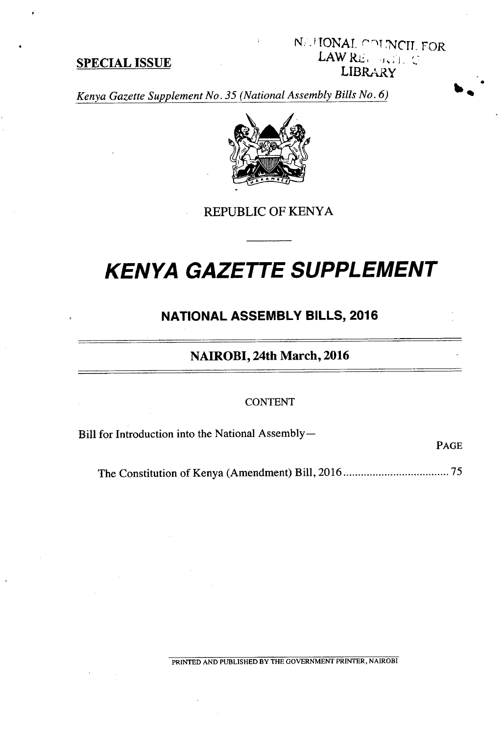## **SPECIAL ISSUE**

*Kenya Gazette Supplement No. 35 (National Assembly Bills No. 6)* 



#### REPUBLIC OF KENYA

# **KENYA GAZETTE SUPPLEMENT**

## **NATIONAL ASSEMBLY BILLS, 2016**

#### **NAIROBI,** 24th March, 2016

#### **CONTENT**

Bill for Introduction into the National Assembly-

PAGE

The Constitution of Kenya (Amendment) Bill, 2016.................................... *75*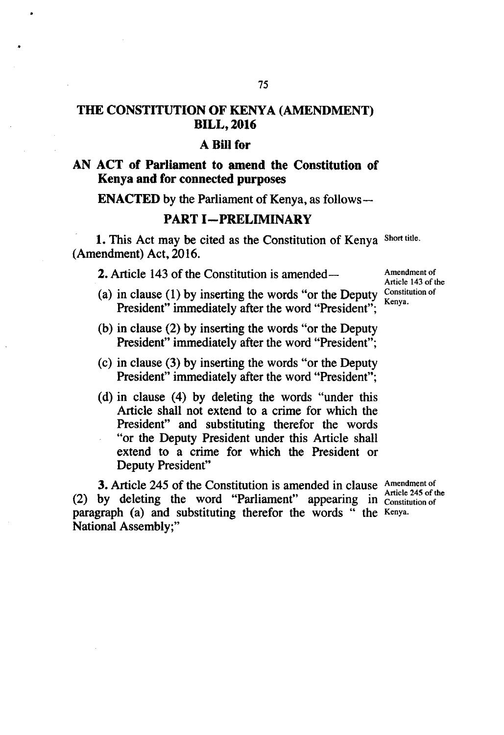## **THE CONSTITUTION OF KENYA (AMENDMENT) BILL, 2016**

#### **A Bill for**

### **AN ACT of Parliament to amend the Constitution of Kenya and for connected purposes**

**ENACTED** by the Parliament of Kenya, as follows—

#### **PART I —PRELIMINARY**

1. This Act may be cited as the Constitution of Kenya Short title. (Amendment) Act, 2016.

2. Article 143 of the Constitution is amended—

- (a) in clause  $(1)$  by inserting the words "or the Deputy" President" immediately after the word "President";
- (b) in clause  $(2)$  by inserting the words "or the Deputy President" immediately after the word "President";
- $(c)$  in clause  $(3)$  by inserting the words "or the Deputy" President" immediately after the word "President";
- $(d)$  in clause  $(4)$  by deleting the words "under this Article shall not extend to a crime for which the President" and substituting therefor the words "or the Deputy President under this Article shall extend to a crime for which the President or Deputy President"

3. Article 245 of the Constitution is amended in clause Amendment of Article 245 of the (2) by deleting the word "Parliament" appearing in  $\frac{\text{Area}}{\text{Constant of}}}$ paragraph (a) and substituting therefor the words " the Kenya. National Assembly;"

Amendment of Article 143 of the Constitution of Kenya.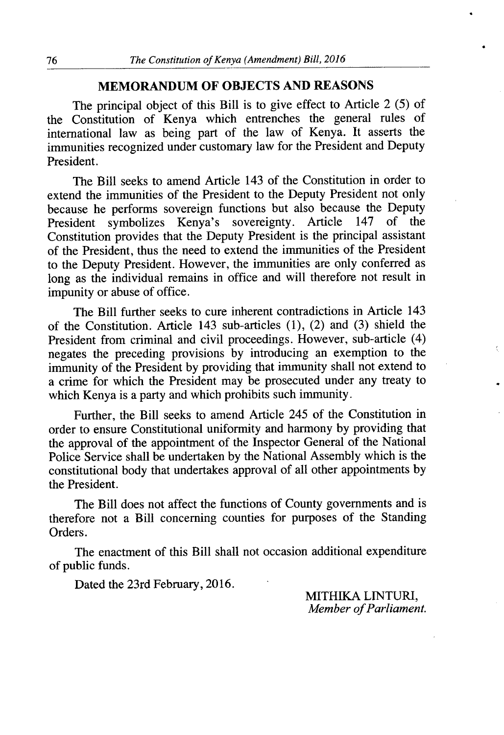# **MEMORANDUM OF OBJECTS AND REASONS**

The principal object of this Bill is to give effect to Article 2 *(5)* of the Constitution of Kenya which entrenches the general rules of international law as being part of the law of Kenya. It asserts the immunities recognized under customary law for the President and Deputy President.

The Bill seeks to amend Article 143 of the Constitution in order to extend the immunities of the President to the Deputy President not only because he performs sovereign functions but also because the Deputy President symbolizes Kenya's sovereignty. Article 147 of the Constitution provides that the Deputy President is the principal assistant of the President, thus the need to extend the immunities of the President to the Deputy President. However, the immunities are only conferred as long as the individual remains in office and will therefore not result in impunity or abuse of office.

The Bill further seeks to cure inherent contradictions in Article 143 of the Constitution. Article 143 sub-articles (1), (2) and (3) shield the President from criminal and civil proceedings. However, sub-article (4) negates the preceding provisions by introducing an exemption to the immunity of the President by providing that immunity shall not extend to a crime for which the President may be prosecuted under any treaty to which Kenya is a party and which prohibits such immunity.

Further, the Bill seeks to amend Article 245 of the Constitution in order to ensure Constitutional uniformity and harmony by providing that the approval of the appointment of the Inspector General of the National Police Service shall be undertaken by the National Assembly which is the constitutional body that undertakes approval of all other appointments by the President.

The Bill does not affect the functions of County governments and is therefore not a Bill concerning counties for purposes of the Standing Orders.

The enactment of this Bill shall not occasion additional expenditure of public funds.

Dated the 23rd February, 2016.

MITHIKA LINTURI, *Member of Parliament.*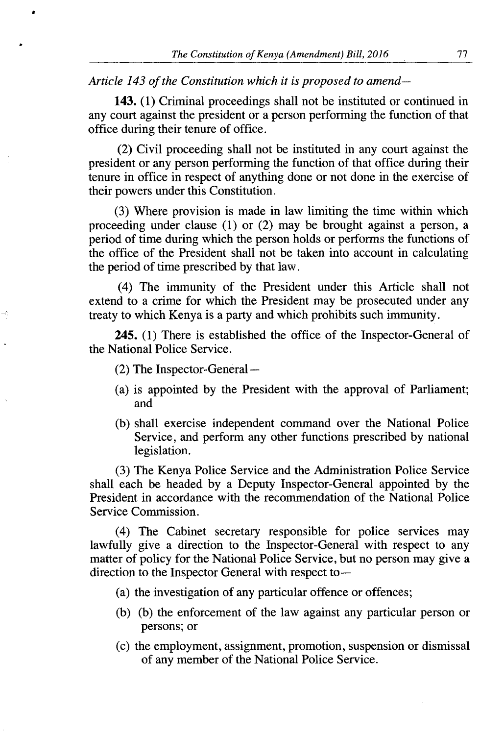#### *Article 143 of the Constitution which it is proposed to amend-*

143. (1) Criminal proceedings shall not be instituted or continued in any court against the president or a person performing the function of that office during their tenure of office.

Civil proceeding shall not be instituted in any court against the president or any person performing the function of that office during their tenure in office in respect of anything done or not done in the exercise of their powers under this Constitution.

Where provision is made in law limiting the time within which proceeding under clause (1) or (2) may be brought against a person, a period of time during which the person holds or performs the functions of the office of the President shall not be taken into account in calculating the period of time prescribed by that law.

The immunity of the President under this Article shall not extend to a crime for which the President may be prosecuted under any treaty to which Kenya is a party and which prohibits such immunity.

245. (1) There is established the office of the Inspector-General of the National Police Service.

- $(2)$  The Inspector-General  $-$
- (a) is appointed by the President with the approval of Parliament; and
- (b) shall exercise independent command over the National Police Service, and perform any other functions prescribed by national legislation.

(3) The Kenya Police Service and the Administration Police Service shall each be headed by a Deputy Inspector-General appointed by the President in accordance with the recommendation of the National Police Service Commission.

(4) The Cabinet secretary responsible for police services may lawfully give a direction to the Inspector-General with respect to any matter of policy for the National Police Service, but no person may give a direction to the Inspector General with respect to—

(a) the investigation of any particular offence or offences;

- (b) the enforcement of the law against any particular person or persons; or
- (c) the employment, assignment, promotion, suspension or dismissal of any member of the National Police Service.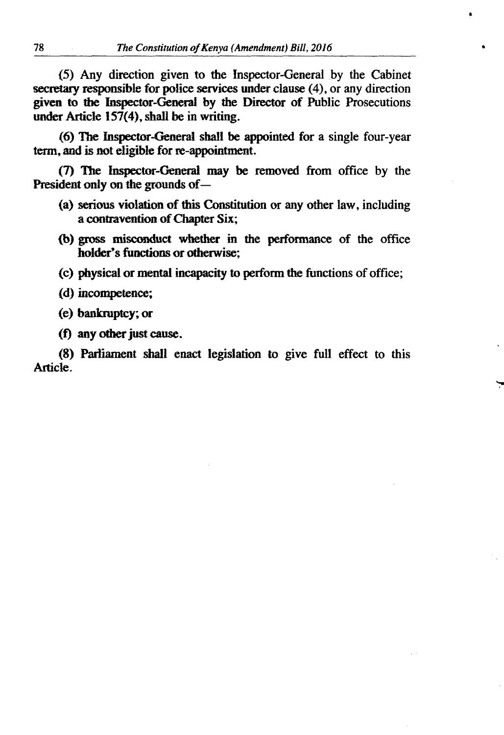*(5)* Any direction given to the Inspector-General by the Cabinet secretary responsible for police services under clause (4), or any direction *given to the* **Inspector-General** by the Director of Public Prosecutions under Article 157(4), shall be in writing.

**(6) The Inspector-General shall be** appointed for a single four-year term, and is not eligible for **re-appointment.** 

(7) **The inspector-General** may be removed from office by the President only on the grounds of—

- serious violation of **this Constitution** or any other law, including **a contravention of Chapter Six;**
- **gross misconduct whether in** the performance of the office holder's functions or otherwise;

physical or mental incapacity to perform the functions of office;

(d) incompetence;

**bankruptcy; or** 

**(t) any other just cause.** 

**(8) Parliament shall** enact legislation to give full effect to this Article.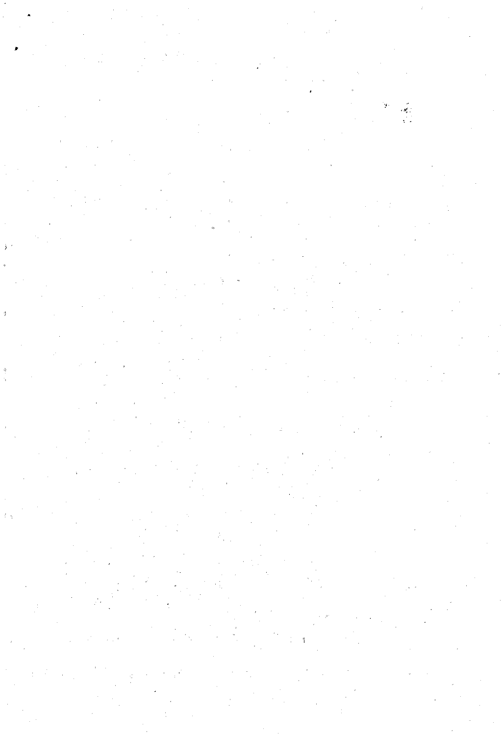ķ